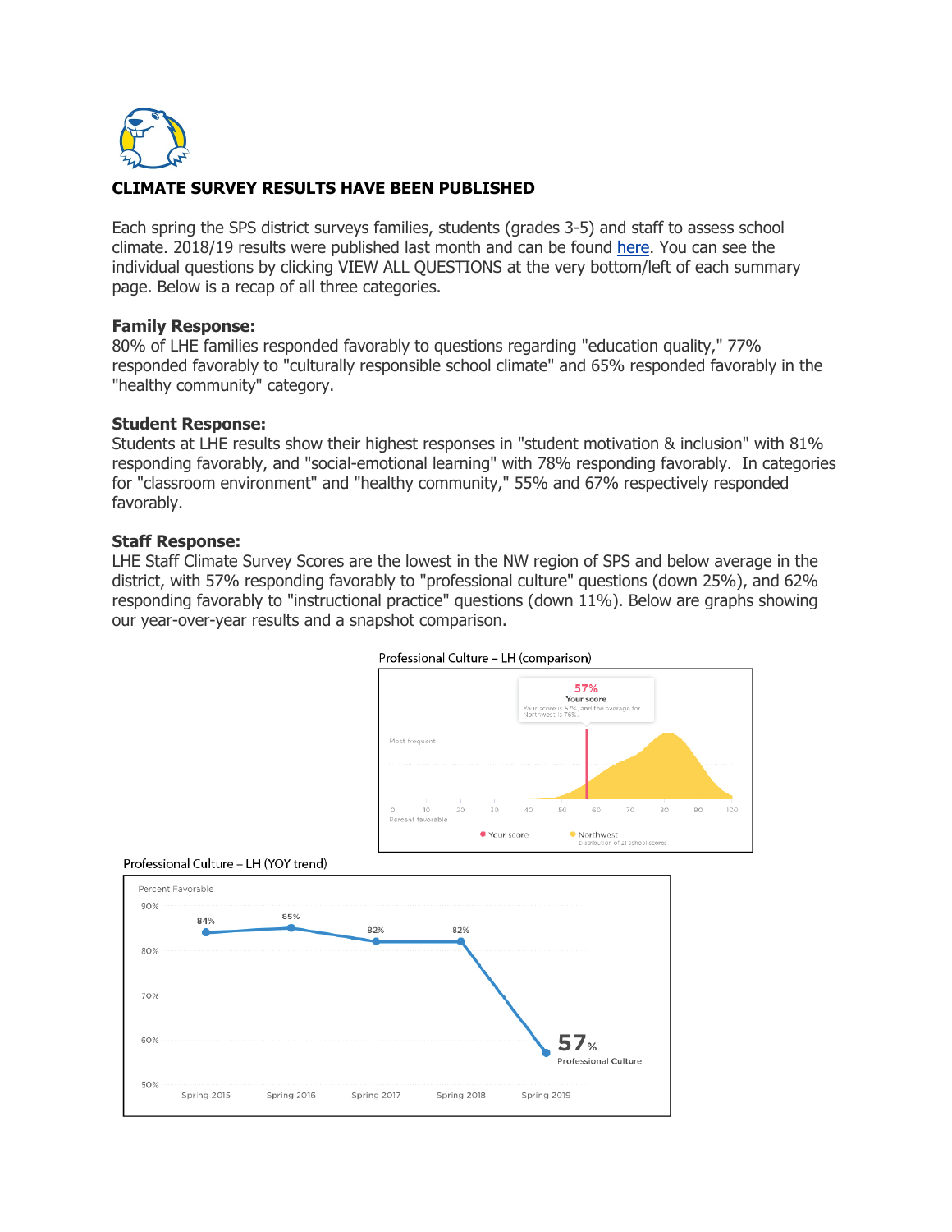

# **CLIMATE SURVEY RESULTS HAVE BEEN PUBLISHED**

Each spring the SPS district surveys families, students (grades 3-5) and staff to assess school climate. 2018/19 results were published last month and can be found here. You can see the individual questions by clicking VIEW ALL QUESTIONS at the very bottom/left of each summary page. Below is a recap of all three categories.

## **Family Response:**

80% of LHE families responded favorably to questions regarding "education quality," 77% responded favorably to "culturally responsible school climate" and 65% responded favorably in the "healthy community" category.

## **Student Response:**

Students at LHE results show their highest responses in "student motivation & inclusion" with 81% responding favorably, and "social-emotional learning" with 78% responding favorably. In categories for "classroom environment" and "healthy community," 55% and 67% respectively responded favorably.

## **Staff Response:**

LHE Staff Climate Survey Scores are the lowest in the NW region of SPS and below average in the district, with 57% responding favorably to "professional culture" questions (down 25%), and 62% responding favorably to "instructional practice" questions (down 11%). Below are graphs showing our year-over-year results and a snapshot comparison.







### Professional Culture - LH (YOY trend)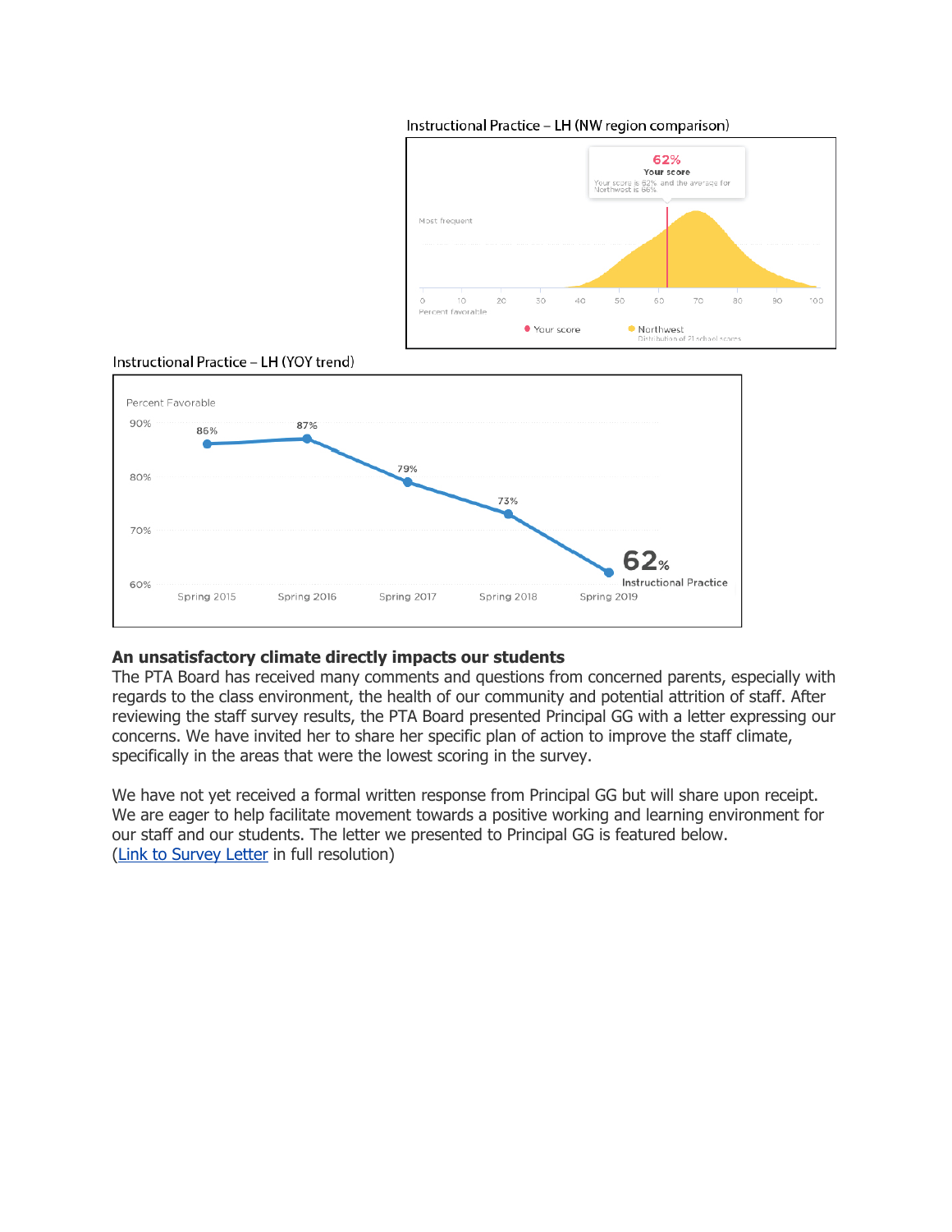

### Instructional Practice - LH (NW region comparison)





## **An unsatisfactory climate directly impacts our students**

The PTA Board has received many comments and questions from concerned parents, especially with regards to the class environment, the health of our community and potential attrition of staff. After reviewing the staff survey results, the PTA Board presented Principal GG with a letter expressing our concerns. We have invited her to share her specific plan of action to improve the staff climate, specifically in the areas that were the lowest scoring in the survey.

We have not yet received a formal written response from Principal GG but will share upon receipt. We are eager to help facilitate movement towards a positive working and learning environment for our staff and our students. The letter we presented to Principal GG is featured below. (Link to Survey Letter in full resolution)